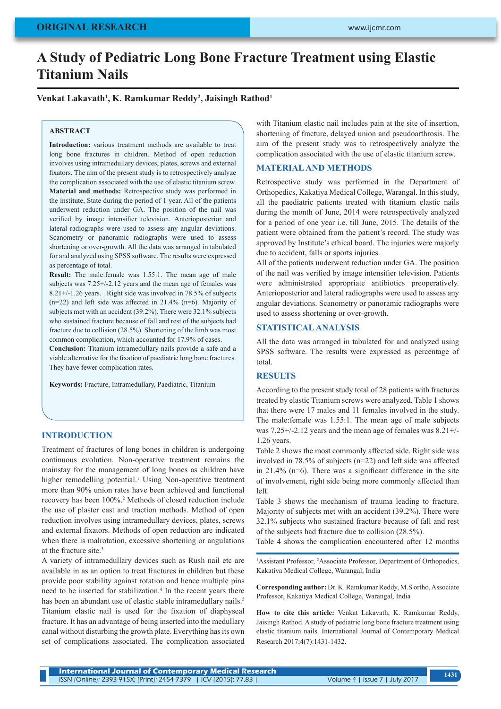# **A Study of Pediatric Long Bone Fracture Treatment using Elastic Titanium Nails**

## Venkat Lakavath<sup>1</sup>, K. Ramkumar Reddy<sup>2</sup>, Jaisingh Rathod<sup>1</sup>

#### **ABSTRACT**

**Introduction:** various treatment methods are available to treat long bone fractures in children. Method of open reduction involves using intramedullary devices, plates, screws and external fixators. The aim of the present study is to retrospectively analyze the complication associated with the use of elastic titanium screw. **Material and methods:** Retrospective study was performed in the institute, State during the period of 1 year. All of the patients underwent reduction under GA. The position of the nail was verified by image intensifier television. Anterioposterior and lateral radiographs were used to assess any angular deviations. Scanometry or panoramic radiographs were used to assess shortening or over-growth. All the data was arranged in tabulated for and analyzed using SPSS software. The results were expressed as percentage of total.

**Result:** The male:female was 1.55:1. The mean age of male subjects was 7.25+/-2.12 years and the mean age of females was 8.21+/-1.26 years. . Right side was involved in 78.5% of subjects  $(n=22)$  and left side was affected in 21.4%  $(n=6)$ . Majority of subjects met with an accident (39.2%). There were 32.1% subjects who sustained fracture because of fall and rest of the subjects had fracture due to collision (28.5%). Shortening of the limb was most common complication, which accounted for 17.9% of cases.

**Conclusion:** Titanium intramedullary nails provide a safe and a viable alternative for the fixation of paediatric long bone fractures. They have fewer complication rates.

**Keywords:** Fracture, Intramedullary, Paediatric, Titanium

## **INTRODUCTION**

Treatment of fractures of long bones in children is undergoing continuous evolution. Non-operative treatment remains the mainstay for the management of long bones as children have higher remodelling potential.<sup>1</sup> Using Non-operative treatment more than 90% union rates have been achieved and functional recovery has been 100%.<sup>2</sup> Methods of closed reduction include the use of plaster cast and traction methods. Method of open reduction involves using intramedullary devices, plates, screws and external fixators. Methods of open reduction are indicated when there is malrotation, excessive shortening or angulations at the fracture site.<sup>3</sup>

A variety of intramedullary devices such as Rush nail etc are available in as an option to treat fractures in children but these provide poor stability against rotation and hence multiple pins need to be inserted for stabilization.<sup>4</sup> In the recent years there has been an abundant use of elastic stable intramedullary nails.<sup>5</sup> Titanium elastic nail is used for the fixation of diaphyseal fracture. It has an advantage of being inserted into the medullary canal without disturbing the growth plate. Everything has its own set of complications associated. The complication associated

with Titanium elastic nail includes pain at the site of insertion, shortening of fracture, delayed union and pseudoarthrosis. The aim of the present study was to retrospectively analyze the complication associated with the use of elastic titanium screw.

#### **MATERIAL AND METHODS**

Retrospective study was performed in the Department of Orthopedics, Kakatiya Medical College, Warangal. In this study, all the paediatric patients treated with titanium elastic nails during the month of June, 2014 were retrospectively analyzed for a period of one year i.e. till June, 2015. The details of the patient were obtained from the patient's record. The study was approved by Institute's ethical board. The injuries were majorly due to accident, falls or sports injuries.

All of the patients underwent reduction under GA. The position of the nail was verified by image intensifier television. Patients were administrated appropriate antibiotics preoperatively. Anterioposterior and lateral radiographs were used to assess any angular deviations. Scanometry or panoramic radiographs were used to assess shortening or over-growth.

#### **STATISTICAL ANALYSIS**

All the data was arranged in tabulated for and analyzed using SPSS software. The results were expressed as percentage of total.

## **RESULTS**

According to the present study total of 28 patients with fractures treated by elastic Titanium screws were analyzed. Table 1 shows that there were 17 males and 11 females involved in the study. The male:female was 1.55:1. The mean age of male subjects was 7.25+/-2.12 years and the mean age of females was 8.21+/- 1.26 years.

Table 2 shows the most commonly affected side. Right side was involved in 78.5% of subjects (n=22) and left side was affected in 21.4% (n=6). There was a significant difference in the site of involvement, right side being more commonly affected than left.

Table 3 shows the mechanism of trauma leading to fracture. Majority of subjects met with an accident (39.2%). There were 32.1% subjects who sustained fracture because of fall and rest of the subjects had fracture due to collision (28.5%).

Table 4 shows the complication encountered after 12 months

<sup>1</sup>Assistant Professor, <sup>2</sup>Associate Professor, Department of Orthopedics, Kakatiya Medical College, Warangal, India

**Corresponding author:** Dr. K. Ramkumar Reddy, M.S ortho, Associate Professor, Kakatiya Medical College, Warangal, India

**How to cite this article:** Venkat Lakavath, K. Ramkumar Reddy, Jaisingh Rathod. A study of pediatric long bone fracture treatment using elastic titanium nails. International Journal of Contemporary Medical Research 2017;4(7):1431-1432.